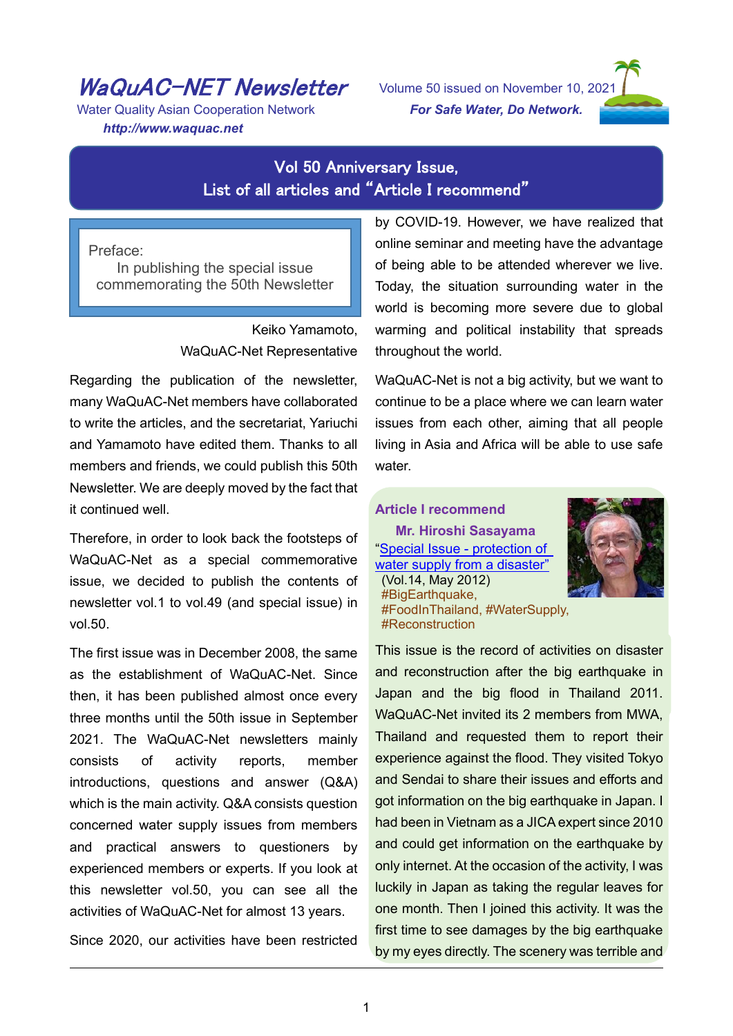# WaQuAC-NET Newsletter

Water Quality Asian Cooperation Network *http://www.waquac.net*

l

Volume 50 issued on November 10, 2021 *For Safe Water, Do Network.*



## Vol 50 Anniversary Issue, List of all articles and "Article I recommend"

Preface: In publishing the special issue commemorating the 50th Newsletter

> Keiko Yamamoto, WaQuAC-Net Representative

Regarding the publication of the newsletter, many WaQuAC-Net members have collaborated to write the articles, and the secretariat, Yariuchi and Yamamoto have edited them. Thanks to all members and friends, we could publish this 50th Newsletter. We are deeply moved by the fact that it continued well.

Therefore, in order to look back the footsteps of WaQuAC-Net as a special commemorative issue, we decided to publish the contents of newsletter vol.1 to vol.49 (and special issue) in vol.50.

The first issue was in December 2008, the same as the establishment of WaQuAC-Net. Since then, it has been published almost once every three months until the 50th issue in September 2021. The WaQuAC-Net newsletters mainly consists of activity reports, member introductions, questions and answer (Q&A) which is the main activity. Q&A consists question concerned water supply issues from members and practical answers to questioners by experienced members or experts. If you look at this newsletter vol.50, you can see all the activities of WaQuAC-Net for almost 13 years.

Since 2020, our activities have been restricted

by COVID-19. However, we have realized that online seminar and meeting have the advantage of being able to be attended wherever we live. Today, the situation surrounding water in the world is becoming more severe due to global warming and political instability that spreads throughout the world.

WaQuAC-Net is not a big activity, but we want to continue to be a place where we can learn water issues from each other, aiming that all people living in Asia and Africa will be able to use safe water.

#### **Article I recommend**

**Mr. Hiroshi Sasayama** ["Special Issue -](https://www.waquac.net/english/pdf/newsletter_vol.14_en.pdf) protection of [water supply from a disaster"](https://www.waquac.net/english/pdf/newsletter_vol.14_en.pdf)



(Vol.14, May 2012) #BigEarthquake, #FoodInThailand, #WaterSupply, #Reconstruction

This issue is the record of activities on disaster and reconstruction after the big earthquake in Japan and the big flood in Thailand 2011. WaQuAC-Net invited its 2 members from MWA, Thailand and requested them to report their experience against the flood. They visited Tokyo and Sendai to share their issues and efforts and got information on the big earthquake in Japan. I had been in Vietnam as a JICA expert since 2010 and could get information on the earthquake by only internet. At the occasion of the activity, I was luckily in Japan as taking the regular leaves for one month. Then I joined this activity. It was the first time to see damages by the big earthquake by my eyes directly. The scenery was terrible and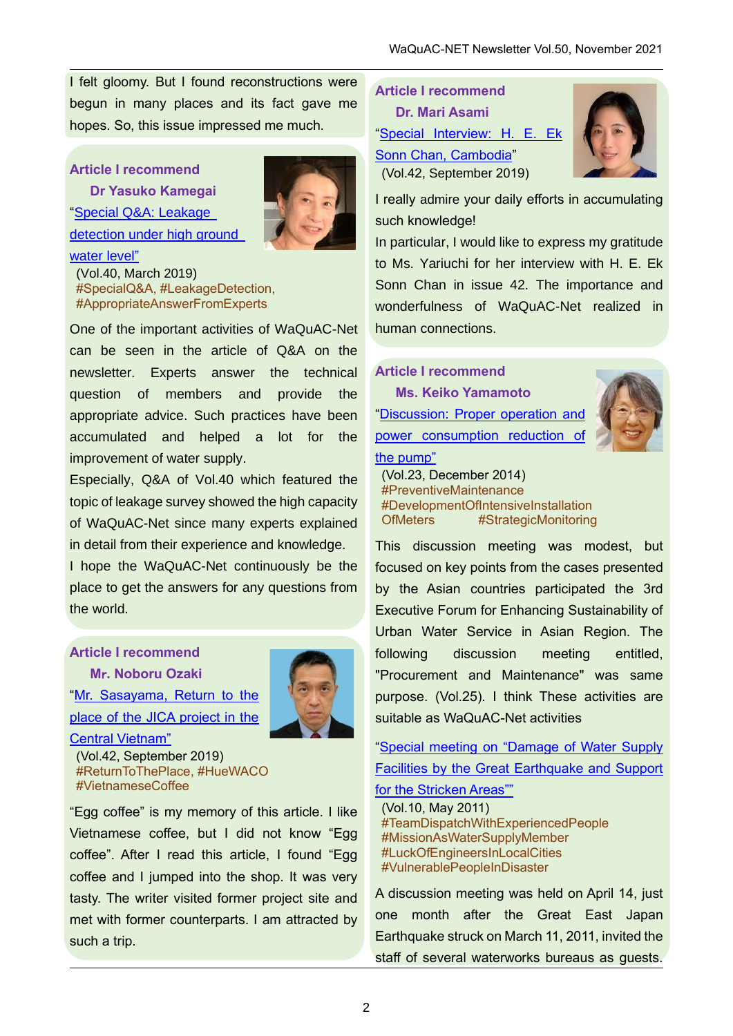I felt gloomy. But I found reconstructions were begun in many places and its fact gave me hopes. So, this issue impressed me much.

## **Article I recommend**

[water level"](https://www.waquac.net/english/pdf/newsletter_vol.40_en.pdf)

**Dr Yasuko Kamegai** ["Special Q&A: Leakage](https://www.waquac.net/english/pdf/newsletter_vol.40_en.pdf)  [detection under high ground](https://www.waquac.net/english/pdf/newsletter_vol.40_en.pdf) 



(Vol.40, March 2019) #SpecialQ&A, #LeakageDetection, #AppropriateAnswerFromExperts

One of the important activities of WaQuAC-Net can be seen in the article of Q&A on the newsletter. Experts answer the technical question of members and provide the appropriate advice. Such practices have been accumulated and helped a lot for the improvement of water supply.

Especially, Q&A of Vol.40 which featured the topic of leakage survey showed the high capacity of WaQuAC-Net since many experts explained in detail from their experience and knowledge.

I hope the WaQuAC-Net continuously be the place to get the answers for any questions from the world.

# **Article I recommend**

**M**r**. Noboru Ozaki** ["Mr. Sasayama, Return to the](https://www.waquac.net/english/pdf/newsletter_vol.42_en.pdf#page=12)  [place of the JICA project in the](https://www.waquac.net/english/pdf/newsletter_vol.42_en.pdf#page=12) 



[Central Vietnam"](https://www.waquac.net/english/pdf/newsletter_vol.42_en.pdf#page=12)

(Vol.42, September 2019) #ReturnToThePlace, #HueWACO #VietnameseCoffee

"Egg coffee" is my memory of this article. I like Vietnamese coffee, but I did not know "Egg coffee". After I read this article, I found "Egg coffee and I jumped into the shop. It was very tasty. The writer visited former project site and met with former counterparts. I am attracted by such a trip.

**Article I recommend Dr. Mari Asami** ["Special Interview: H. E. Ek](https://www.waquac.net/english/pdf/newsletter_vol.42_en.pdf)  [Sonn Chan, Cambodia"](https://www.waquac.net/english/pdf/newsletter_vol.42_en.pdf) (Vol.42, September 2019)



I really admire your daily efforts in accumulating such knowledge!

In particular, I would like to express my gratitude to Ms. Yariuchi for her interview with H. E. Ek Sonn Chan in issue 42. The importance and wonderfulness of WaQuAC-Net realized in human connections.

**Article I recommend Ms. Keiko Yamamoto** ["Discussion: Proper operation and](https://www.waquac.net/english/pdf/newsletter201501_en.pdf#page=9)  power consumption reduction of [the pump"](https://www.waquac.net/english/pdf/newsletter201501_en.pdf#page=9)



(Vol.23, December 2014) #PreventiveMaintenance #DevelopmentOfIntensiveInstallation OfMeters #StrategicMonitoring

This discussion meeting was modest, but focused on key points from the cases presented by the Asian countries participated the 3rd Executive Forum for Enhancing Sustainability of Urban Water Service in Asian Region. The following discussion meeting entitled, "Procurement and Maintenance" was same purpose. (Vol.25). I think These activities are suitable as WaQuAC-Net activities

["Special meeting on "Damage of Water Supply](https://www.waquac.net/english/pdf/newsletter_vol.10_en.pdf)  [Facilities by the Great Earthquake and Support](https://www.waquac.net/english/pdf/newsletter_vol.10_en.pdf) 

## [for the Stricken Areas""](https://www.waquac.net/english/pdf/newsletter_vol.10_en.pdf)

(Vol.10, May 2011) #TeamDispatchWithExperiencedPeople #MissionAsWaterSupplyMember #LuckOfEngineersInLocalCities #VulnerablePeopleInDisaster

A discussion meeting was held on April 14, just one month after the Great East Japan Earthquake struck on March 11, 2011, invited the staff of several waterworks bureaus as guests.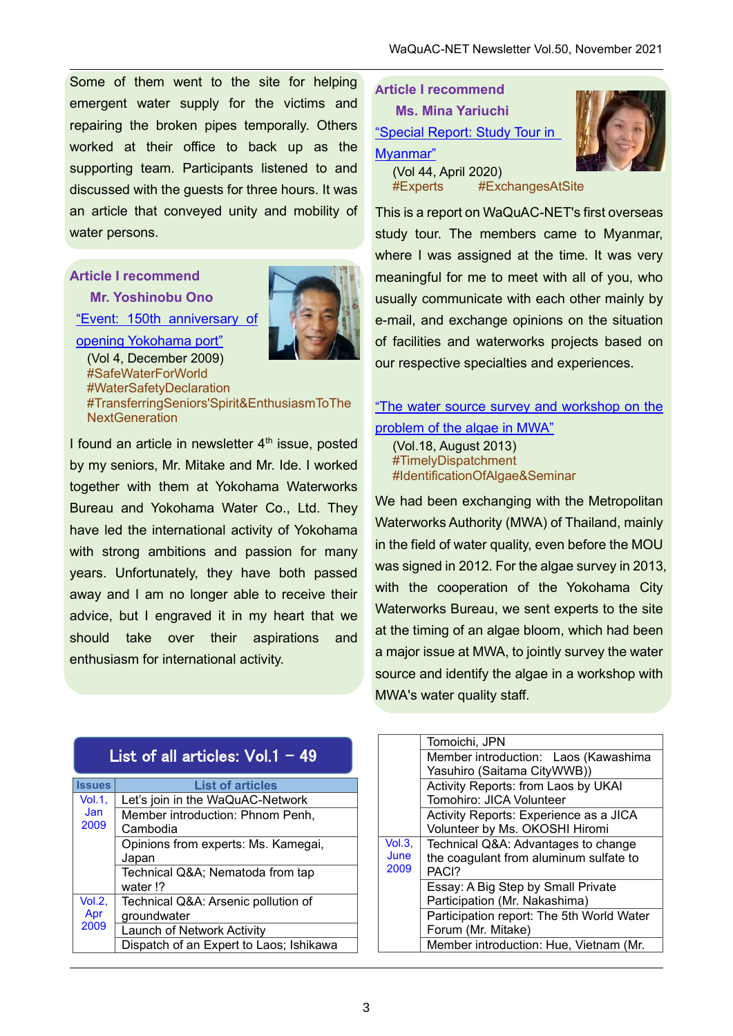Some of them went to the site for helping emergent water supply for the victims and repairing the broken pipes temporally. Others worked at their office to back up as the supporting team. Participants listened to and discussed with the guests for three hours. It was an article that conveyed unity and mobility of water persons.

## **Article I recommend**

**Mr. Yoshinobu Ono**

["Event: 150th anniversary of](https://www.waquac.net/english/pdf/newsletter_vol.4_en.pdf)  [opening Yokohama port"](https://www.waquac.net/english/pdf/newsletter_vol.4_en.pdf)



(Vol 4, December 2009) #SafeWaterForWorld #WaterSafetyDeclaration #TransferringSeniors'Spirit&EnthusiasmToThe **NextGeneration** 

I found an article in newsletter  $4<sup>th</sup>$  issue, posted by my seniors, Mr. Mitake and Mr. Ide. I worked together with them at Yokohama Waterworks Bureau and Yokohama Water Co., Ltd. They have led the international activity of Yokohama with strong ambitions and passion for many years. Unfortunately, they have both passed away and I am no longer able to receive their advice, but I engraved it in my heart that we should take over their aspirations and enthusiasm for international activity.

| <b>Article I recommend</b>     |
|--------------------------------|
| <b>Ms. Mina Yariuchi</b>       |
| "Special Report: Study Tour in |
| Myanmar"                       |
| (Vol 44, April 2020)           |

#Experts #ExchangesAtSite

This is a report on WaQuAC-NET's first overseas study tour. The members came to Myanmar, where I was assigned at the time. It was very meaningful for me to meet with all of you, who usually communicate with each other mainly by e-mail, and exchange opinions on the situation of facilities and waterworks projects based on our respective specialties and experiences.

## "The water source survey and workshop on the [problem of the algae in MWA"](https://www.waquac.net/english/pdf/newsletter_vol.18_en.pdf)

(Vol.18, August 2013) #TimelyDispatchment #IdentificationOfAlgae&Seminar

We had been exchanging with the Metropolitan Waterworks Authority (MWA) of Thailand, mainly in the field of water quality, even before the MOU was signed in 2012. For the algae survey in 2013, with the cooperation of the Yokohama City Waterworks Bureau, we sent experts to the site at the timing of an algae bloom, which had been a major issue at MWA, to jointly survey the water source and identify the algae in a workshop with MWA's water quality staff.

| List of all articles: $Vol.1 - 49$ |                                         |
|------------------------------------|-----------------------------------------|
| <b>Issues</b>                      | <b>List of articles</b>                 |
| Vol.1,                             | Let's join in the WaQuAC-Network        |
| Jan                                | Member introduction: Phnom Penh,        |
| 2009                               | Cambodia                                |
|                                    | Opinions from experts: Ms. Kamegai,     |
|                                    | Japan                                   |
|                                    | Technical Q&A Nematoda from tap         |
|                                    | water !?                                |
| Vol.2,                             | Technical Q&A: Arsenic pollution of     |
| Apr                                | groundwater                             |
| 2009                               | Launch of Network Activity              |
|                                    | Dispatch of an Expert to Laos; Ishikawa |

|        | Tomoichi, JPN                             |
|--------|-------------------------------------------|
|        | Member introduction: Laos (Kawashima      |
|        | Yasuhiro (Saitama CityWWB))               |
|        | Activity Reports: from Laos by UKAI       |
|        | Tomohiro: JICA Volunteer                  |
|        | Activity Reports: Experience as a JICA    |
|        | Volunteer by Ms. OKOSHI Hiromi            |
| Vol.3. | Technical Q&A: Advantages to change       |
| June   | the coagulant from aluminum sulfate to    |
| 2009   | PACI?                                     |
|        | Essay: A Big Step by Small Private        |
|        | Participation (Mr. Nakashima)             |
|        | Participation report: The 5th World Water |
|        | Forum (Mr. Mitake)                        |
|        | Member introduction: Hue, Vietnam (Mr.    |
|        |                                           |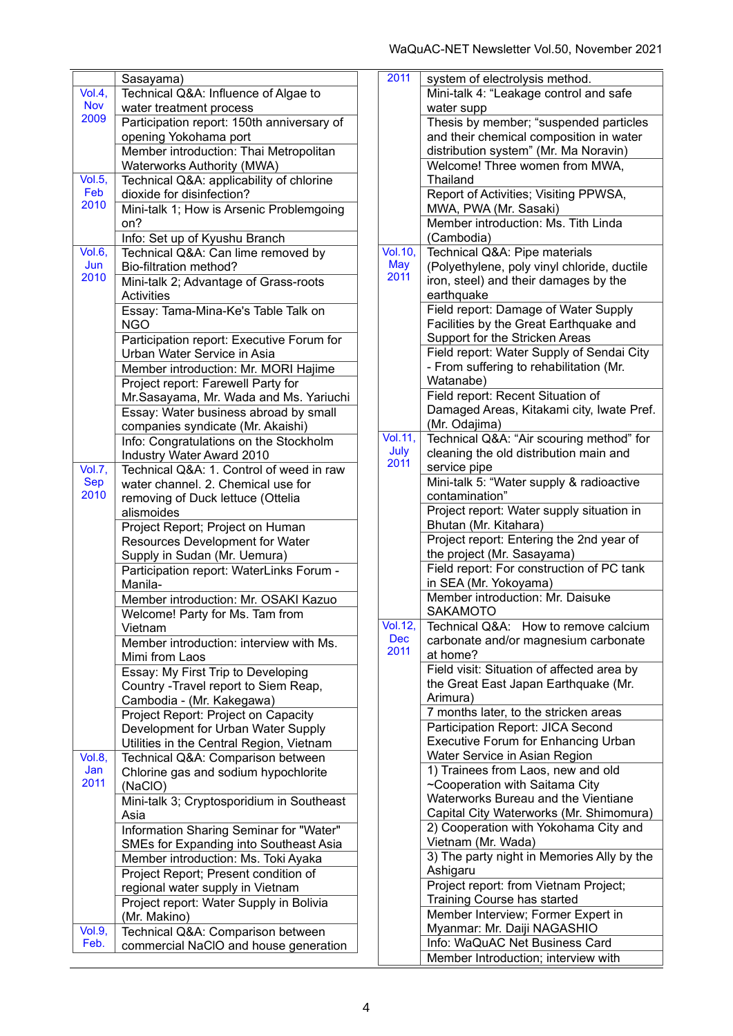|                             | Sasayama)                                  |
|-----------------------------|--------------------------------------------|
| Vol.4,                      | Technical Q&A: Influence of Algae to       |
| <b>Nov</b>                  | water treatment process                    |
| 2009                        | Participation report: 150th anniversary of |
|                             | opening Yokohama port                      |
|                             | Member introduction: Thai Metropolitan     |
|                             | Waterworks Authority (MWA)                 |
| Vol.5,                      | Technical Q&A: applicability of chlorine   |
| Feb                         | dioxide for disinfection?                  |
| 2010                        | Mini-talk 1; How is Arsenic Problemgoing   |
|                             | on?                                        |
|                             | Info: Set up of Kyushu Branch              |
| Vol.6,                      | Technical Q&A: Can lime removed by         |
| Jun                         | Bio-filtration method?                     |
| 2010                        | Mini-talk 2; Advantage of Grass-roots      |
|                             | <b>Activities</b>                          |
|                             | Essay: Tama-Mina-Ke's Table Talk on        |
|                             | <b>NGO</b>                                 |
|                             | Participation report: Executive Forum for  |
|                             | Urban Water Service in Asia                |
|                             | Member introduction: Mr. MORI Hajime       |
|                             | Project report: Farewell Party for         |
|                             | Mr.Sasayama, Mr. Wada and Ms. Yariuchi     |
|                             | Essay: Water business abroad by small      |
|                             | companies syndicate (Mr. Akaishi)          |
|                             | Info: Congratulations on the Stockholm     |
|                             | Industry Water Award 2010                  |
| Vol.7,                      | Technical Q&A: 1. Control of weed in raw   |
| <b>Sep</b>                  | water channel. 2. Chemical use for         |
| 2010                        | removing of Duck lettuce (Ottelia          |
|                             | alismoides                                 |
|                             | Project Report; Project on Human           |
|                             | Resources Development for Water            |
|                             | Supply in Sudan (Mr. Uemura)               |
|                             | Participation report: WaterLinks Forum -   |
|                             | Manila-                                    |
|                             | Member introduction: Mr. OSAKI Kazuo       |
|                             | Welcome! Party for Ms. Tam from            |
|                             | Vietnam                                    |
|                             | Member introduction: interview with Ms.    |
|                             | Mimi from Laos                             |
|                             | Essay: My First Trip to Developing         |
|                             | Country -Travel report to Siem Reap,       |
|                             | Cambodia - (Mr. Kakegawa)                  |
|                             | Project Report: Project on Capacity        |
|                             | Development for Urban Water Supply         |
|                             | Utilities in the Central Region, Vietnam   |
| Vol.8,                      | Technical Q&A: Comparison between          |
| Jan                         | Chlorine gas and sodium hypochlorite       |
| 2011                        | (NaCIO)                                    |
|                             | Mini-talk 3; Cryptosporidium in Southeast  |
|                             | Asia                                       |
|                             | Information Sharing Seminar for "Water"    |
|                             | SMEs for Expanding into Southeast Asia     |
|                             | Member introduction: Ms. Toki Ayaka        |
|                             | Project Report; Present condition of       |
|                             | regional water supply in Vietnam           |
|                             | Project report: Water Supply in Bolivia    |
|                             |                                            |
| $\overline{\text{Vol.9}}$ , | (Mr. Makino)                               |
| Feb.                        | Technical Q&A: Comparison between          |
|                             | commercial NaCIO and house generation      |

| 2011                         | system of electrolysis method.                               |
|------------------------------|--------------------------------------------------------------|
|                              | Mini-talk 4: "Leakage control and safe                       |
|                              | water supp                                                   |
|                              | Thesis by member; "suspended particles                       |
|                              | and their chemical composition in water                      |
|                              | distribution system" (Mr. Ma Noravin)                        |
|                              | Welcome! Three women from MWA,                               |
|                              | Thailand                                                     |
|                              | Report of Activities; Visiting PPWSA,                        |
|                              |                                                              |
|                              | MWA, PWA (Mr. Sasaki)<br>Member introduction: Ms. Tith Linda |
|                              |                                                              |
|                              | (Cambodia)                                                   |
| $\overline{\text{Vol}.10}$ , | Technical Q&A: Pipe materials                                |
| <b>May</b><br>2011           | (Polyethylene, poly vinyl chloride, ductile                  |
|                              | iron, steel) and their damages by the                        |
|                              | earthquake                                                   |
|                              | Field report: Damage of Water Supply                         |
|                              | Facilities by the Great Earthquake and                       |
|                              | Support for the Stricken Areas                               |
|                              | Field report: Water Supply of Sendai City                    |
|                              | - From suffering to rehabilitation (Mr.                      |
|                              | Watanabe)                                                    |
|                              | Field report: Recent Situation of                            |
|                              | Damaged Areas, Kitakami city, Iwate Pref.                    |
|                              | (Mr. Odajima)                                                |
| $\overline{\text{Vol}}.11,$  | Technical Q&A: "Air scouring method" for                     |
| July                         | cleaning the old distribution main and                       |
| 2011                         | service pipe                                                 |
|                              | Mini-talk 5: "Water supply & radioactive                     |
|                              | contamination"                                               |
|                              | Project report: Water supply situation in                    |
|                              | Bhutan (Mr. Kitahara)                                        |
|                              | Project report: Entering the 2nd year of                     |
|                              | the project (Mr. Sasayama)                                   |
|                              | Field report: For construction of PC tank                    |
|                              | in SEA (Mr. Yokoyama)                                        |
|                              | Member introduction: Mr. Daisuke                             |
|                              | SAKAMOTO                                                     |
| $\overline{\text{Vol}}$ .12, | Technical Q&A: How to remove calcium                         |
| <b>Dec</b>                   | carbonate and/or magnesium carbonate                         |
| 2011                         | at home?                                                     |
|                              | Field visit: Situation of affected area by                   |
|                              | the Great East Japan Earthquake (Mr.                         |
|                              | Arimura)                                                     |
|                              | 7 months later, to the stricken areas                        |
|                              | Participation Report: JICA Second                            |
|                              | <b>Executive Forum for Enhancing Urban</b>                   |
|                              | Water Service in Asian Region                                |
|                              | 1) Trainees from Laos, new and old                           |
|                              | ~Cooperation with Saitama City                               |
|                              | Waterworks Bureau and the Vientiane                          |
|                              | Capital City Waterworks (Mr. Shimomura)                      |
|                              | 2) Cooperation with Yokohama City and                        |
|                              | Vietnam (Mr. Wada)                                           |
|                              |                                                              |
|                              | 3) The party night in Memories Ally by the                   |
|                              | Ashigaru                                                     |
|                              | Project report: from Vietnam Project;                        |
|                              | <b>Training Course has started</b>                           |
|                              | Member Interview; Former Expert in                           |
|                              | Myanmar: Mr. Daiji NAGASHIO                                  |
|                              | Info: WaQuAC Net Business Card                               |
|                              | Member Introduction; interview with                          |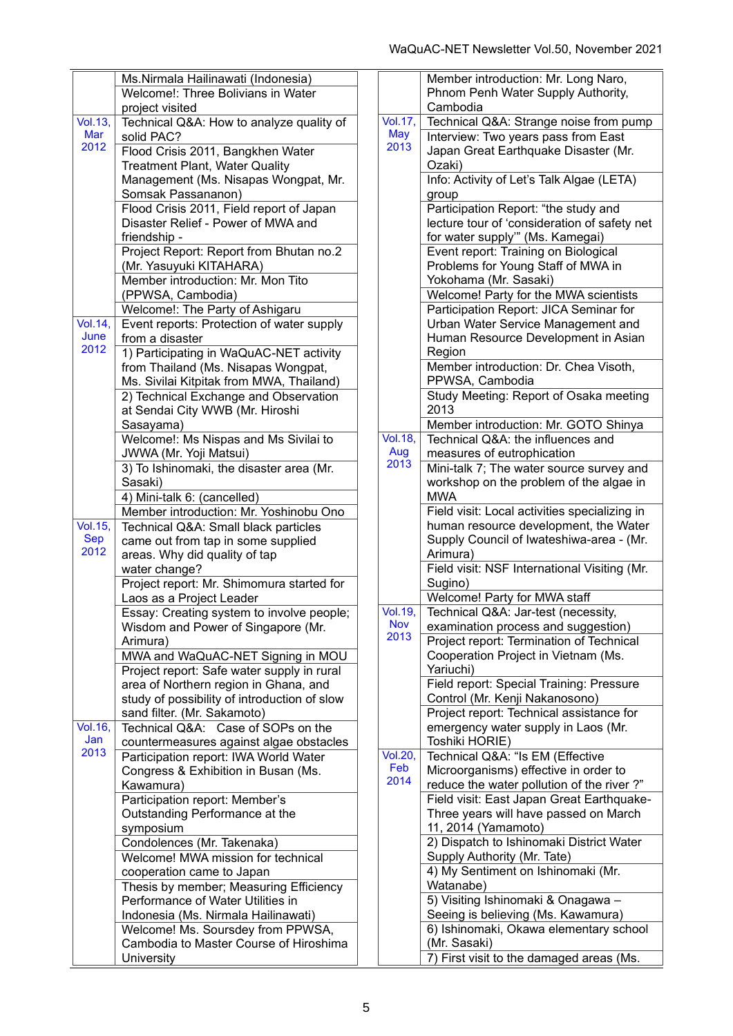|                 | Ms.Nirmala Hailinawati (Indonesia)           |   |
|-----------------|----------------------------------------------|---|
|                 | Welcome!: Three Bolivians in Water           |   |
|                 | project visited                              |   |
| Vol. 13,        | Technical Q&A: How to analyze quality of     | Ī |
| Mar             | solid PAC?                                   |   |
| 2012            | Flood Crisis 2011, Bangkhen Water            |   |
|                 | <b>Treatment Plant, Water Quality</b>        |   |
|                 |                                              |   |
|                 | Management (Ms. Nisapas Wongpat, Mr.         |   |
|                 | Somsak Passananon)                           |   |
|                 | Flood Crisis 2011, Field report of Japan     |   |
|                 | Disaster Relief - Power of MWA and           |   |
|                 | friendship -                                 |   |
|                 | Project Report: Report from Bhutan no.2      |   |
|                 | (Mr. Yasuyuki KITAHARA)                      |   |
|                 | Member introduction: Mr. Mon Tito            |   |
|                 | (PPWSA, Cambodia)                            |   |
|                 | Welcome!: The Party of Ashigaru              |   |
| Vol. 14,        | Event reports: Protection of water supply    |   |
| June            | from a disaster                              |   |
| 2012            | 1) Participating in WaQuAC-NET activity      |   |
|                 | from Thailand (Ms. Nisapas Wongpat,          |   |
|                 | Ms. Sivilai Kitpitak from MWA, Thailand)     |   |
|                 |                                              |   |
|                 | 2) Technical Exchange and Observation        |   |
|                 | at Sendai City WWB (Mr. Hiroshi              |   |
|                 | Sasayama)                                    |   |
|                 | Welcome!: Ms Nispas and Ms Sivilai to        | Ñ |
|                 | JWWA (Mr. Yoji Matsui)                       |   |
|                 | 3) To Ishinomaki, the disaster area (Mr.     |   |
|                 | Sasaki)                                      |   |
|                 | 4) Mini-talk 6: (cancelled)                  |   |
|                 | Member introduction: Mr. Yoshinobu Ono       |   |
| Vol. 15,        | Technical Q&A: Small black particles         |   |
| <b>Sep</b>      | came out from tap in some supplied           |   |
| 2012            | areas. Why did quality of tap                |   |
|                 | water change?                                |   |
|                 | Project report: Mr. Shimomura started for    |   |
|                 | Laos as a Project Leader                     |   |
|                 | Essay: Creating system to involve people;    |   |
|                 | Wisdom and Power of Singapore (Mr.           |   |
|                 | Arimura)                                     |   |
|                 |                                              |   |
|                 | MWA and WaQuAC-NET Signing in MOU            |   |
|                 | Project report: Safe water supply in rural   |   |
|                 | area of Northern region in Ghana, and        |   |
|                 | study of possibility of introduction of slow |   |
|                 | sand filter. (Mr. Sakamoto)                  |   |
| <b>Vol. 16,</b> | Technical Q&A:<br>Case of SOPs on the        |   |
| Jan             | countermeasures against algae obstacles      |   |
| 2013            | Participation report: IWA World Water        | Ī |
|                 | Congress & Exhibition in Busan (Ms.          |   |
|                 | Kawamura)                                    |   |
|                 | Participation report: Member's               |   |
|                 | Outstanding Performance at the               |   |
|                 | symposium                                    |   |
|                 | Condolences (Mr. Takenaka)                   |   |
|                 | Welcome! MWA mission for technical           |   |
|                 |                                              |   |
|                 | cooperation came to Japan                    |   |
|                 | Thesis by member; Measuring Efficiency       |   |
|                 | Performance of Water Utilities in            |   |
|                 | Indonesia (Ms. Nirmala Hailinawati)          |   |
|                 | Welcome! Ms. Soursdey from PPWSA,            |   |
|                 | Cambodia to Master Course of Hiroshima       |   |
|                 | University                                   |   |

|                 | Member introduction: Mr. Long Naro,           |
|-----------------|-----------------------------------------------|
|                 | Phnom Penh Water Supply Authority,            |
|                 | Cambodia                                      |
| Vol. 17,        | Technical Q&A: Strange noise from pump        |
| <b>May</b>      |                                               |
| 2013            | Interview: Two years pass from East           |
|                 | Japan Great Earthquake Disaster (Mr.          |
|                 | Ozaki)                                        |
|                 | Info: Activity of Let's Talk Algae (LETA)     |
|                 | group                                         |
|                 | Participation Report: "the study and          |
|                 | lecture tour of 'consideration of safety net  |
|                 | for water supply"" (Ms. Kamegai)              |
|                 | Event report: Training on Biological          |
|                 | Problems for Young Staff of MWA in            |
|                 |                                               |
|                 | Yokohama (Mr. Sasaki)                         |
|                 | Welcome! Party for the MWA scientists         |
|                 | Participation Report: JICA Seminar for        |
|                 | Urban Water Service Management and            |
|                 | Human Resource Development in Asian           |
|                 | Region                                        |
|                 | Member introduction: Dr. Chea Visoth,         |
|                 | PPWSA, Cambodia                               |
|                 | Study Meeting: Report of Osaka meeting        |
|                 | 2013                                          |
|                 | Member introduction: Mr. GOTO Shinya          |
| <b>Vol.18,</b>  | Technical Q&A: the influences and             |
| Aug             |                                               |
| 2013            | measures of eutrophication                    |
|                 | Mini-talk 7; The water source survey and      |
|                 | workshop on the problem of the algae in       |
|                 | <b>MWA</b>                                    |
|                 | Field visit: Local activities specializing in |
|                 | human resource development, the Water         |
|                 | Supply Council of Iwateshiwa-area - (Mr.      |
|                 | Arimura)                                      |
|                 | Field visit: NSF International Visiting (Mr.  |
|                 | Sugino)                                       |
|                 | Welcome! Party for MWA staff                  |
| <b>Vol. 19,</b> | Technical Q&A: Jar-test (necessity,           |
| <b>Nov</b>      | examination process and suggestion)           |
| 2013            | Project report: Termination of Technical      |
|                 | Cooperation Project in Vietnam (Ms.           |
|                 | Yariuchi)                                     |
|                 | Field report: Special Training: Pressure      |
|                 |                                               |
|                 | Control (Mr. Kenji Nakanosono)                |
|                 | Project report: Technical assistance for      |
|                 | emergency water supply in Laos (Mr.           |
|                 | Toshiki HORIE)                                |
| <b>Vol.20,</b>  | Technical Q&A: "Is EM (Effective              |
| Feb             | Microorganisms) effective in order to         |
| 2014            | reduce the water pollution of the river?"     |
|                 | Field visit: East Japan Great Earthquake-     |
|                 | Three years will have passed on March         |
|                 | 11, 2014 (Yamamoto)                           |
|                 | 2) Dispatch to Ishinomaki District Water      |
|                 | Supply Authority (Mr. Tate)                   |
|                 | 4) My Sentiment on Ishinomaki (Mr.            |
|                 | Watanabe)                                     |
|                 | 5) Visiting Ishinomaki & Onagawa -            |
|                 | Seeing is believing (Ms. Kawamura)            |
|                 | 6) Ishinomaki, Okawa elementary school        |
|                 | (Mr. Sasaki)                                  |
|                 | 7) First visit to the damaged areas (Ms.      |
|                 |                                               |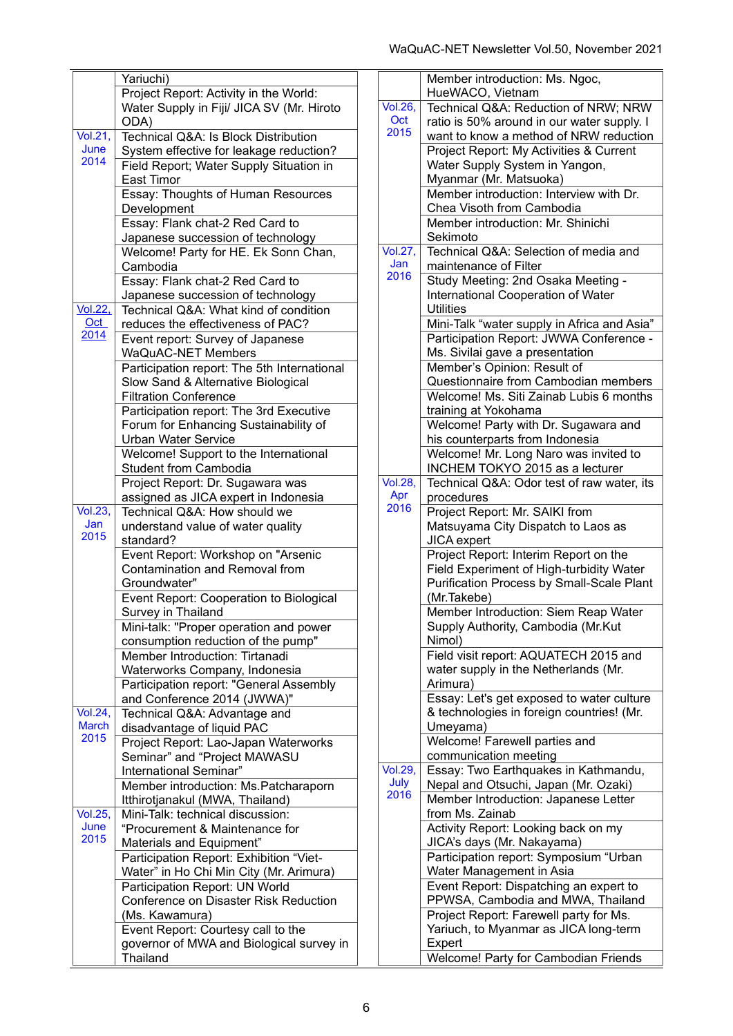|                              | Yariuchi)                                   |                |
|------------------------------|---------------------------------------------|----------------|
|                              | Project Report: Activity in the World:      |                |
|                              | Water Supply in Fiji/ JICA SV (Mr. Hiroto   | Vc             |
|                              | ODA)                                        |                |
| $\overline{\text{Vol.21}}$ , | Technical Q&A: Is Block Distribution        | $\overline{2}$ |
| June                         | System effective for leakage reduction?     |                |
| 2014                         | Field Report; Water Supply Situation in     |                |
|                              | East Timor                                  |                |
|                              |                                             |                |
|                              | Essay: Thoughts of Human Resources          |                |
|                              | Development                                 |                |
|                              | Essay: Flank chat-2 Red Card to             |                |
|                              | Japanese succession of technology           |                |
|                              | Welcome! Party for HE. Ek Sonn Chan,        | Vc             |
|                              | Cambodia                                    | $\overline{2}$ |
|                              | Essay: Flank chat-2 Red Card to             |                |
|                              | Japanese succession of technology           |                |
| <b>Vol.22,</b>               | Technical Q&A: What kind of condition       |                |
| Oct                          | reduces the effectiveness of PAC?           |                |
| 2014                         | Event report: Survey of Japanese            |                |
|                              | <b>WaQuAC-NET Members</b>                   |                |
|                              | Participation report: The 5th International |                |
|                              | Slow Sand & Alternative Biological          |                |
|                              | <b>Filtration Conference</b>                |                |
|                              | Participation report: The 3rd Executive     |                |
|                              | Forum for Enhancing Sustainability of       |                |
|                              | <b>Urban Water Service</b>                  |                |
|                              | Welcome! Support to the International       |                |
|                              | <b>Student from Cambodia</b>                |                |
|                              | Project Report: Dr. Sugawara was            | Vc             |
|                              | assigned as JICA expert in Indonesia        |                |
| <b>Vol.23,</b>               | Technical Q&A: How should we                | $\overline{2}$ |
| Jan                          | understand value of water quality           |                |
| 2015                         | standard?                                   |                |
|                              | Event Report: Workshop on "Arsenic          |                |
|                              | Contamination and Removal from              |                |
|                              | Groundwater"                                |                |
|                              | Event Report: Cooperation to Biological     |                |
|                              | Survey in Thailand                          |                |
|                              | Mini-talk: "Proper operation and power      |                |
|                              | consumption reduction of the pump"          |                |
|                              | Member Introduction: Tirtanadi              |                |
|                              | Waterworks Company, Indonesia               |                |
|                              |                                             |                |
|                              | Participation report: "General Assembly     |                |
| <b>Vol.24,</b>               | and Conference 2014 (JWWA)"                 |                |
| <b>March</b>                 | Technical Q&A: Advantage and                |                |
| 2015                         | disadvantage of liquid PAC                  |                |
|                              | Project Report: Lao-Japan Waterworks        |                |
|                              | Seminar" and "Project MAWASU                |                |
|                              | International Seminar"                      | Vc             |
|                              | Member introduction: Ms. Patcharaporn       | $\overline{2}$ |
|                              | Itthirotjanakul (MWA, Thailand)             |                |
| <b>Vol.25,</b>               | Mini-Talk: technical discussion:            |                |
| June                         | "Procurement & Maintenance for              |                |
| 2015                         | Materials and Equipment"                    |                |
|                              | Participation Report: Exhibition "Viet-     |                |
|                              | Water" in Ho Chi Min City (Mr. Arimura)     |                |
|                              | Participation Report: UN World              |                |
|                              | Conference on Disaster Risk Reduction       |                |
|                              | (Ms. Kawamura)                              |                |
|                              | Event Report: Courtesy call to the          |                |
|                              | governor of MWA and Biological survey in    |                |
|                              | Thailand                                    |                |

|                                | Member introduction: Ms. Ngoc,                   |
|--------------------------------|--------------------------------------------------|
|                                | HueWACO, Vietnam                                 |
| $\overline{\text{Vol}.26}$ ,   | Technical Q&A: Reduction of NRW; NRW             |
| Oct                            | ratio is 50% around in our water supply. I       |
| 2015                           | want to know a method of NRW reduction           |
|                                | Project Report: My Activities & Current          |
|                                | Water Supply System in Yangon,                   |
|                                | Myanmar (Mr. Matsuoka)                           |
|                                | Member introduction: Interview with Dr.          |
|                                | Chea Visoth from Cambodia                        |
|                                | Member introduction: Mr. Shinichi                |
|                                | Sekimoto                                         |
| $\overline{\textsf{Vol.27}}$ , | Technical Q&A: Selection of media and            |
| Jan                            | maintenance of Filter                            |
| 2016                           | Study Meeting: 2nd Osaka Meeting -               |
|                                | International Cooperation of Water               |
|                                | <b>Utilities</b>                                 |
|                                | Mini-Talk "water supply in Africa and Asia"      |
|                                | Participation Report: JWWA Conference -          |
|                                |                                                  |
|                                | Ms. Sivilai gave a presentation                  |
|                                | Member's Opinion: Result of                      |
|                                | Questionnaire from Cambodian members             |
|                                | Welcome! Ms. Siti Zainab Lubis 6 months          |
|                                | training at Yokohama                             |
|                                | Welcome! Party with Dr. Sugawara and             |
|                                | his counterparts from Indonesia                  |
|                                | Welcome! Mr. Long Naro was invited to            |
|                                | INCHEM TOKYO 2015 as a lecturer                  |
| $\overline{\text{Vol}.28}$ ,   | Technical Q&A: Odor test of raw water, its       |
| Apr                            | procedures                                       |
| 2016                           | Project Report: Mr. SAIKI from                   |
|                                | Matsuyama City Dispatch to Laos as               |
|                                | <b>JICA</b> expert                               |
|                                | Project Report: Interim Report on the            |
|                                | Field Experiment of High-turbidity Water         |
|                                | <b>Purification Process by Small-Scale Plant</b> |
|                                | (Mr.Takebe)                                      |
|                                | Member Introduction: Siem Reap Water             |
|                                | Supply Authority, Cambodia (Mr.Kut               |
|                                | Nimol)                                           |
|                                | Field visit report: AQUATECH 2015 and            |
|                                | water supply in the Netherlands (Mr.             |
|                                | Arimura)                                         |
|                                | Essay: Let's get exposed to water culture        |
|                                | & technologies in foreign countries! (Mr.        |
|                                | Umeyama)                                         |
|                                | Welcome! Farewell parties and                    |
|                                | communication meeting                            |
| Vol.29,                        | Essay: Two Earthquakes in Kathmandu,             |
| July                           | Nepal and Otsuchi, Japan (Mr. Ozaki)             |
| 2016                           | Member Introduction: Japanese Letter             |
|                                | from Ms. Zainab                                  |
|                                | Activity Report: Looking back on my              |
|                                | JICA's days (Mr. Nakayama)                       |
|                                | Participation report: Symposium "Urban           |
|                                |                                                  |
|                                | Water Management in Asia                         |
|                                | Event Report: Dispatching an expert to           |
|                                | PPWSA, Cambodia and MWA, Thailand                |
|                                | Project Report: Farewell party for Ms.           |
|                                | Yariuch, to Myanmar as JICA long-term            |
|                                | Expert                                           |
|                                | Welcome! Party for Cambodian Friends             |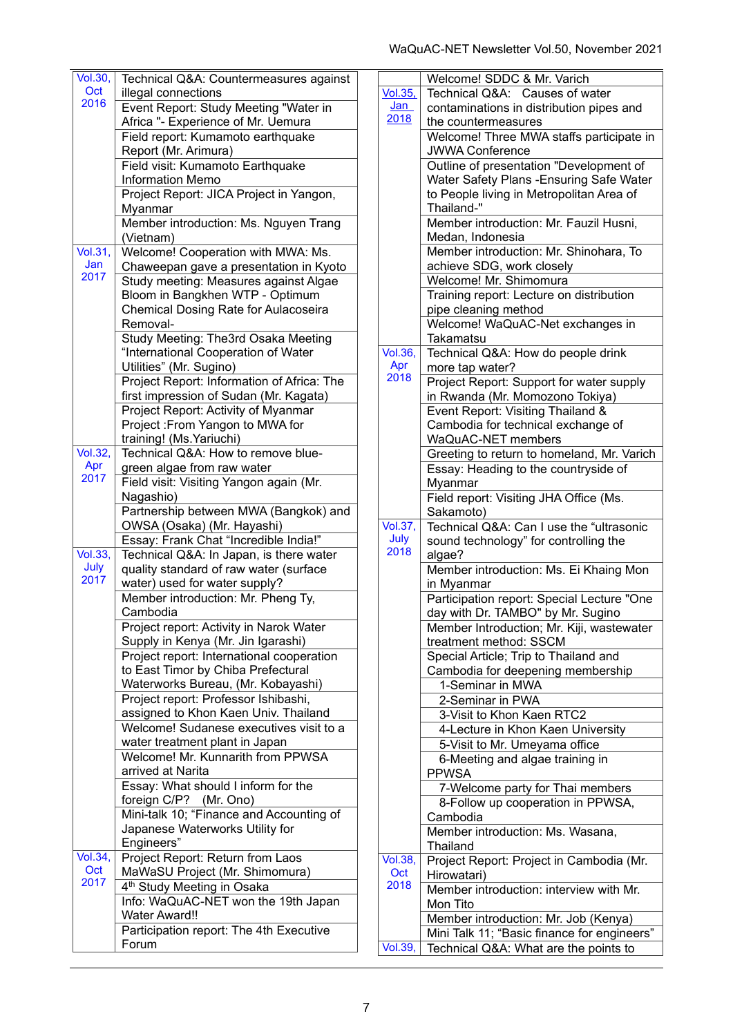| <b>Vol.30,</b> |                                                  |  |
|----------------|--------------------------------------------------|--|
|                | Technical Q&A: Countermeasures against           |  |
| Oct            | illegal connections                              |  |
| 2016           | Event Report: Study Meeting "Water in            |  |
|                | Africa "- Experience of Mr. Uemura               |  |
|                | Field report: Kumamoto earthquake                |  |
|                | Report (Mr. Arimura)                             |  |
|                | Field visit: Kumamoto Earthquake                 |  |
|                | <b>Information Memo</b>                          |  |
|                | Project Report: JICA Project in Yangon,          |  |
|                | Myanmar                                          |  |
|                |                                                  |  |
|                | Member introduction: Ms. Nguyen Trang            |  |
|                | (Vietnam)                                        |  |
| <b>Vol.31,</b> | Welcome! Cooperation with MWA: Ms.               |  |
| Jan<br>2017    | Chaweepan gave a presentation in Kyoto           |  |
|                | Study meeting: Measures against Algae            |  |
|                | Bloom in Bangkhen WTP - Optimum                  |  |
|                | Chemical Dosing Rate for Aulacoseira             |  |
|                | Removal-                                         |  |
|                | Study Meeting: The3rd Osaka Meeting              |  |
|                | "International Cooperation of Water              |  |
|                | Utilities" (Mr. Sugino)                          |  |
|                | Project Report: Information of Africa: The       |  |
|                | first impression of Sudan (Mr. Kagata)           |  |
|                | Project Report: Activity of Myanmar              |  |
|                |                                                  |  |
|                | Project: From Yangon to MWA for                  |  |
|                | training! (Ms. Yariuchi)                         |  |
| <b>Vol.32,</b> | Technical Q&A: How to remove blue-               |  |
| Apr<br>2017    | green algae from raw water                       |  |
|                | Field visit: Visiting Yangon again (Mr.          |  |
|                | Nagashio)                                        |  |
|                | Partnership between MWA (Bangkok) and            |  |
|                | OWSA (Osaka) (Mr. Hayashi)                       |  |
|                | Essay: Frank Chat "Incredible India!"            |  |
| Vol.33.        | Technical Q&A: In Japan, is there water          |  |
| July           | quality standard of raw water (surface           |  |
| 2017           | water) used for water supply?                    |  |
|                | Member introduction: Mr. Pheng Ty,               |  |
|                | Cambodia                                         |  |
|                | Project report: Activity in Narok Water          |  |
|                | Supply in Kenya (Mr. Jin Igarashi)               |  |
|                | Project report: International cooperation        |  |
|                |                                                  |  |
|                |                                                  |  |
|                | to East Timor by Chiba Prefectural               |  |
|                | Waterworks Bureau, (Mr. Kobayashi)               |  |
|                | Project report: Professor Ishibashi,             |  |
|                | assigned to Khon Kaen Univ. Thailand             |  |
|                | Welcome! Sudanese executives visit to a          |  |
|                | water treatment plant in Japan                   |  |
|                | Welcome! Mr. Kunnarith from PPWSA                |  |
|                | arrived at Narita                                |  |
|                |                                                  |  |
|                | Essay: What should I inform for the              |  |
|                | foreign C/P?<br>(Mr. Ono)                        |  |
|                | Mini-talk 10; "Finance and Accounting of         |  |
|                | Japanese Waterworks Utility for                  |  |
|                | Engineers"                                       |  |
| <b>Vol.34,</b> | Project Report: Return from Laos                 |  |
| Oct            | MaWaSU Project (Mr. Shimomura)                   |  |
| 2017           | 4 <sup>th</sup> Study Meeting in Osaka           |  |
|                | Info: WaQuAC-NET won the 19th Japan              |  |
|                | <b>Water Award!!</b>                             |  |
|                | Participation report: The 4th Executive<br>Forum |  |

|                                   | Welcome! SDDC & Mr. Varich                                                           |
|-----------------------------------|--------------------------------------------------------------------------------------|
| $\overline{Vol.35}$ ,             | Technical Q&A: Causes of water                                                       |
| <u>Jan</u>                        |                                                                                      |
| 2018                              | contaminations in distribution pipes and                                             |
|                                   | the countermeasures                                                                  |
|                                   | Welcome! Three MWA staffs participate in                                             |
|                                   | <b>JWWA Conference</b>                                                               |
|                                   | Outline of presentation "Development of                                              |
|                                   | Water Safety Plans - Ensuring Safe Water                                             |
|                                   | to People living in Metropolitan Area of                                             |
|                                   | Thailand-"                                                                           |
|                                   | Member introduction: Mr. Fauzil Husni,                                               |
|                                   | Medan, Indonesia                                                                     |
|                                   | Member introduction: Mr. Shinohara, To                                               |
|                                   | achieve SDG, work closely                                                            |
|                                   | Welcome! Mr. Shimomura                                                               |
|                                   | Training report: Lecture on distribution                                             |
|                                   |                                                                                      |
|                                   | pipe cleaning method                                                                 |
|                                   | Welcome! WaQuAC-Net exchanges in                                                     |
|                                   | <b>Takamatsu</b>                                                                     |
| $\overline{\text{Vol.36}}$        | Technical Q&A: How do people drink                                                   |
| Apr<br>2018                       | more tap water?                                                                      |
|                                   | Project Report: Support for water supply                                             |
|                                   | in Rwanda (Mr. Momozono Tokiya)                                                      |
|                                   | Event Report: Visiting Thailand &                                                    |
|                                   | Cambodia for technical exchange of                                                   |
|                                   | WaQuAC-NET members                                                                   |
|                                   | Greeting to return to homeland, Mr. Varich                                           |
|                                   | Essay: Heading to the countryside of                                                 |
|                                   | Myanmar                                                                              |
|                                   | Field report: Visiting JHA Office (Ms.                                               |
|                                   | Sakamoto)                                                                            |
| $\overline{\text{Vol.37}}$ ,      | Technical Q&A: Can I use the "ultrasonic                                             |
| July                              | sound technology" for controlling the                                                |
| 2018                              | algae?                                                                               |
|                                   |                                                                                      |
|                                   | Member introduction: Ms. Ei Khaing Mon                                               |
|                                   | in Myanmar                                                                           |
|                                   | Participation report: Special Lecture "One                                           |
|                                   | day with Dr. TAMBO" by Mr. Sugino                                                    |
|                                   | Member Introduction; Mr. Kiji, wastewater                                            |
|                                   | treatment method: SSCM                                                               |
|                                   |                                                                                      |
|                                   | Special Article; Trip to Thailand and                                                |
|                                   | Cambodia for deepening membership                                                    |
|                                   | 1-Seminar in MWA                                                                     |
|                                   | 2-Seminar in PWA                                                                     |
|                                   | 3-Visit to Khon Kaen RTC2                                                            |
|                                   |                                                                                      |
|                                   | 4-Lecture in Khon Kaen University                                                    |
|                                   | 5-Visit to Mr. Umeyama office                                                        |
|                                   | 6-Meeting and algae training in<br><b>PPWSA</b>                                      |
|                                   |                                                                                      |
|                                   | 7-Welcome party for Thai members                                                     |
|                                   | 8-Follow up cooperation in PPWSA,                                                    |
|                                   | Cambodia                                                                             |
|                                   | Member introduction: Ms. Wasana,                                                     |
|                                   | Thailand                                                                             |
|                                   | Project Report: Project in Cambodia (Mr.                                             |
| $\overline{\text{Vol.38}}$<br>Oct | Hirowatari)                                                                          |
| 2018                              | Member introduction: interview with Mr.                                              |
|                                   | Mon Tito                                                                             |
|                                   | Member introduction: Mr. Job (Kenya)                                                 |
| Vol.39,                           | Mini Talk 11; "Basic finance for engineers"<br>Technical Q&A: What are the points to |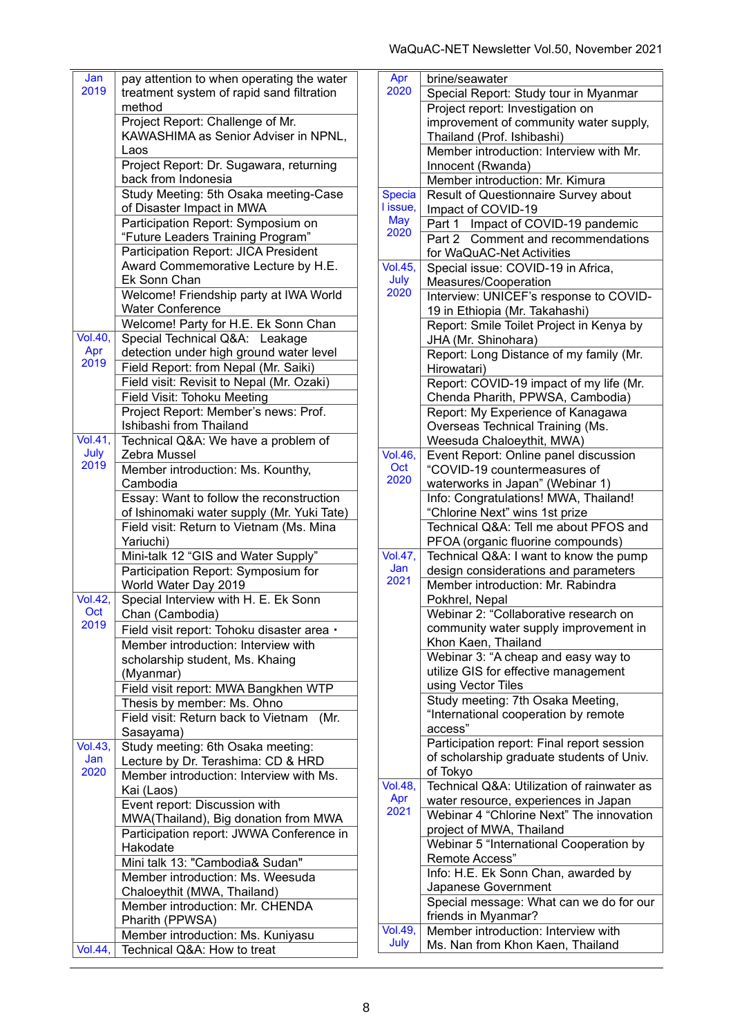| Jan                        | pay attention to when operating the water   |
|----------------------------|---------------------------------------------|
| 2019                       | treatment system of rapid sand filtration   |
|                            | method                                      |
|                            |                                             |
|                            | Project Report: Challenge of Mr.            |
|                            | KAWASHIMA as Senior Adviser in NPNL,        |
|                            | Laos                                        |
|                            |                                             |
|                            | Project Report: Dr. Sugawara, returning     |
|                            | back from Indonesia                         |
|                            | Study Meeting: 5th Osaka meeting-Case       |
|                            |                                             |
|                            | of Disaster Impact in MWA                   |
|                            | Participation Report: Symposium on          |
|                            | "Future Leaders Training Program"           |
|                            |                                             |
|                            | Participation Report: JICA President        |
|                            | Award Commemorative Lecture by H.E.         |
|                            | Ek Sonn Chan                                |
|                            | Welcome! Friendship party at IWA World      |
|                            |                                             |
|                            | <b>Water Conference</b>                     |
|                            | Welcome! Party for H.E. Ek Sonn Chan        |
| <b>Vol.40,</b>             | Special Technical Q&A: Leakage              |
| Apr                        |                                             |
| 2019                       | detection under high ground water level     |
|                            | Field Report: from Nepal (Mr. Saiki)        |
|                            | Field visit: Revisit to Nepal (Mr. Ozaki)   |
|                            |                                             |
|                            | <b>Field Visit: Tohoku Meeting</b>          |
|                            | Project Report: Member's news: Prof.        |
|                            | Ishibashi from Thailand                     |
| $\overline{\text{Vol.41}}$ | Technical Q&A: We have a problem of         |
| July                       |                                             |
| 2019                       | Zebra Mussel                                |
|                            | Member introduction: Ms. Kounthy,           |
|                            | Cambodia                                    |
|                            | Essay: Want to follow the reconstruction    |
|                            |                                             |
|                            | of Ishinomaki water supply (Mr. Yuki Tate)  |
|                            | Field visit: Return to Vietnam (Ms. Mina    |
|                            | Yariuchi)                                   |
|                            | Mini-talk 12 "GIS and Water Supply"         |
|                            |                                             |
|                            | Participation Report: Symposium for         |
|                            | World Water Day 2019                        |
| <b>Vol.42,</b>             | Special Interview with H. E. Ek Sonn        |
| <b>Oct</b>                 | Chan (Cambodia)                             |
| 2019                       |                                             |
|                            | Field visit report: Tohoku disaster area ·  |
|                            | Member introduction: Interview with         |
|                            | scholarship student, Ms. Khaing             |
|                            | (Myanmar)                                   |
|                            |                                             |
|                            | Field visit report: MWA Bangkhen WTP        |
|                            | Thesis by member: Ms. Ohno                  |
|                            | Field visit: Return back to Vietnam<br>(Mr. |
|                            | Sasayama)                                   |
| <b>Vol.43,</b>             |                                             |
|                            | Study meeting: 6th Osaka meeting:           |
| Jan                        | Lecture by Dr. Terashima: CD & HRD          |
| 2020                       | Member introduction: Interview with Ms.     |
|                            | Kai (Laos)                                  |
|                            | Event report: Discussion with               |
|                            |                                             |
|                            | MWA(Thailand), Big donation from MWA        |
|                            | Participation report: JWWA Conference in    |
|                            | Hakodate                                    |
|                            | Mini talk 13: "Cambodia& Sudan"             |
|                            |                                             |
|                            | Member introduction: Ms. Weesuda            |
|                            | Chaloeythit (MWA, Thailand)                 |
|                            | Member introduction: Mr. CHENDA             |
|                            | Pharith (PPWSA)                             |
|                            |                                             |
|                            | Member introduction: Ms. Kuniyasu           |
| Vol.44,                    | Technical Q&A: How to treat                 |
|                            |                                             |

| Apr                                | brine/seawater                                             |
|------------------------------------|------------------------------------------------------------|
| 2020                               | Special Report: Study tour in Myanmar                      |
|                                    | Project report: Investigation on                           |
|                                    | improvement of community water supply,                     |
|                                    | Thailand (Prof. Ishibashi)                                 |
|                                    | Member introduction: Interview with Mr.                    |
|                                    | Innocent (Rwanda)                                          |
|                                    | Member introduction: Mr. Kimura                            |
| Specia                             | Result of Questionnaire Survey about                       |
| I issue,                           | Impact of COVID-19                                         |
| <b>May</b>                         | Part 1 Impact of COVID-19 pandemic                         |
| 2020                               | Part 2 Comment and recommendations                         |
|                                    | for WaQuAC-Net Activities                                  |
| <b>Vol.45,</b>                     | Special issue: COVID-19 in Africa,                         |
| July                               | Measures/Cooperation                                       |
| 2020                               | Interview: UNICEF's response to COVID-                     |
|                                    | 19 in Ethiopia (Mr. Takahashi)                             |
|                                    | Report: Smile Toilet Project in Kenya by                   |
|                                    | JHA (Mr. Shinohara)                                        |
|                                    | Report: Long Distance of my family (Mr.                    |
|                                    | Hirowatari)                                                |
|                                    | Report: COVID-19 impact of my life (Mr.                    |
|                                    | Chenda Pharith, PPWSA, Cambodia)                           |
|                                    | Report: My Experience of Kanagawa                          |
|                                    | Overseas Technical Training (Ms.                           |
|                                    | Weesuda Chaloeythit, MWA)                                  |
| <b>Vol.46,</b>                     | Event Report: Online panel discussion                      |
| Oct                                | "COVID-19 countermeasures of                               |
| 2020                               | waterworks in Japan" (Webinar 1)                           |
|                                    | Info: Congratulations! MWA, Thailand!                      |
|                                    | "Chlorine Next" wins 1st prize                             |
|                                    | Technical Q&A: Tell me about PFOS and                      |
|                                    | PFOA (organic fluorine compounds)                          |
| $\overline{\text{Vol}}.47,$<br>Jan | Technical Q&A: I want to know the pump                     |
| 2021                               | design considerations and parameters                       |
|                                    | Member introduction: Mr. Rabindra                          |
|                                    | Pokhrel, Nepal                                             |
|                                    | Webinar 2: "Collaborative research on                      |
|                                    | community water supply improvement in                      |
|                                    | Khon Kaen, Thailand<br>Webinar 3: "A cheap and easy way to |
|                                    | utilize GIS for effective management                       |
|                                    | using Vector Tiles                                         |
|                                    | Study meeting: 7th Osaka Meeting,                          |
|                                    | "International cooperation by remote                       |
|                                    | access"                                                    |
|                                    | Participation report: Final report session                 |
|                                    | of scholarship graduate students of Univ.                  |
|                                    | of Tokyo                                                   |
| <b>Vol.48,</b>                     | Technical Q&A: Utilization of rainwater as                 |
| Apr                                | water resource, experiences in Japan                       |
| 2021                               | Webinar 4 "Chlorine Next" The innovation                   |
|                                    | project of MWA, Thailand                                   |
|                                    | Webinar 5 "International Cooperation by                    |
|                                    | Remote Access"                                             |
|                                    | Info: H.E. Ek Sonn Chan, awarded by                        |
|                                    | Japanese Government                                        |
|                                    | Special message: What can we do for our                    |
|                                    | friends in Myanmar?                                        |
| <b>Vol.49,</b>                     | Member introduction: Interview with                        |
| July                               | Ms. Nan from Khon Kaen, Thailand                           |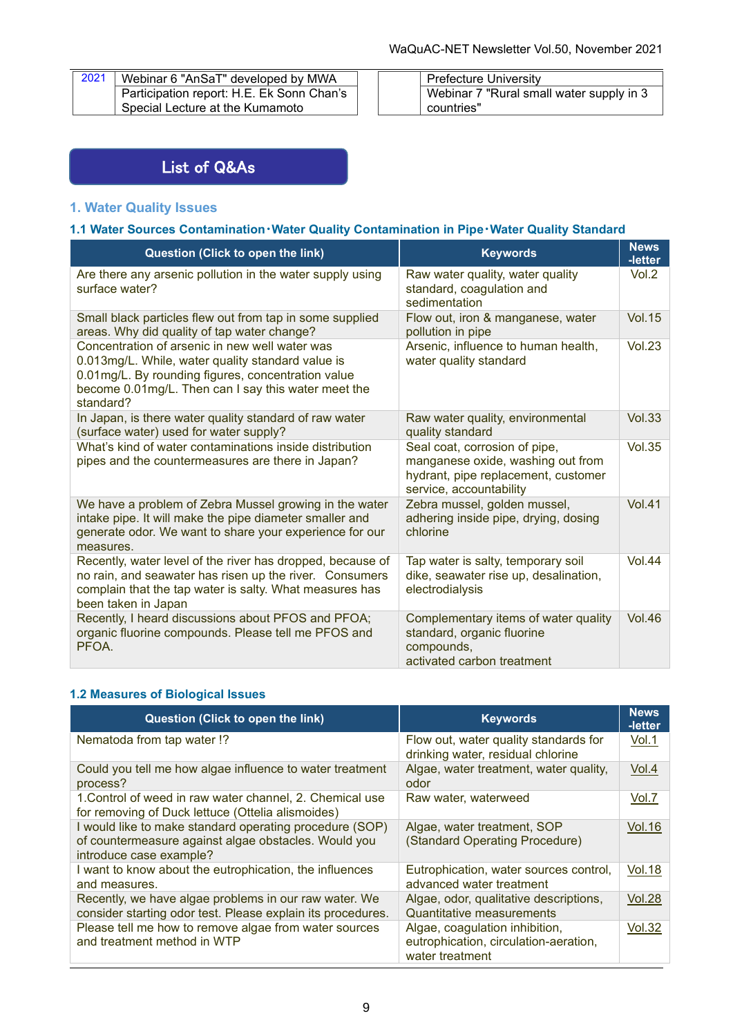| 2021   Webinar 6 "AnSaT" developed by MWA |
|-------------------------------------------|
| Participation report: H.E. Ek Sonn Chan's |
| Special Lecture at the Kumamoto           |

| Prefecture University                    |
|------------------------------------------|
| Webinar 7 "Rural small water supply in 3 |
| countries"                               |

## List of Q&As

## **1. Water Quality Issues**

### **1.1 Water Sources Contamination・Water Quality Contamination in Pipe・Water Quality Standard**

| Question (Click to open the link)                                                                                                                                                                                             | <b>Keywords</b>                                                                                                                      | <b>News</b><br>-letter |
|-------------------------------------------------------------------------------------------------------------------------------------------------------------------------------------------------------------------------------|--------------------------------------------------------------------------------------------------------------------------------------|------------------------|
| Are there any arsenic pollution in the water supply using<br>surface water?                                                                                                                                                   | Raw water quality, water quality<br>standard, coagulation and<br>sedimentation                                                       | Vol.2                  |
| Small black particles flew out from tap in some supplied<br>areas. Why did quality of tap water change?                                                                                                                       | Flow out, iron & manganese, water<br>pollution in pipe                                                                               | <b>Vol.15</b>          |
| Concentration of arsenic in new well water was<br>0.013mg/L. While, water quality standard value is<br>0.01mg/L. By rounding figures, concentration value<br>become 0.01mg/L. Then can I say this water meet the<br>standard? | Arsenic, influence to human health,<br>water quality standard                                                                        | Vol.23                 |
| In Japan, is there water quality standard of raw water<br>(surface water) used for water supply?                                                                                                                              | Raw water quality, environmental<br>quality standard                                                                                 | <b>Vol.33</b>          |
| What's kind of water contaminations inside distribution<br>pipes and the countermeasures are there in Japan?                                                                                                                  | Seal coat, corrosion of pipe,<br>manganese oxide, washing out from<br>hydrant, pipe replacement, customer<br>service, accountability | <b>Vol.35</b>          |
| We have a problem of Zebra Mussel growing in the water<br>intake pipe. It will make the pipe diameter smaller and<br>generate odor. We want to share your experience for our<br>measures.                                     | Zebra mussel, golden mussel,<br>adhering inside pipe, drying, dosing<br>chlorine                                                     | <b>Vol.41</b>          |
| Recently, water level of the river has dropped, because of<br>no rain, and seawater has risen up the river. Consumers<br>complain that the tap water is salty. What measures has<br>been taken in Japan                       | Tap water is salty, temporary soil<br>dike, seawater rise up, desalination,<br>electrodialysis                                       | Vol.44                 |
| Recently, I heard discussions about PFOS and PFOA;<br>organic fluorine compounds. Please tell me PFOS and<br>PFOA.                                                                                                            | Complementary items of water quality<br>standard, organic fluorine<br>compounds,<br>activated carbon treatment                       | <b>Vol.46</b>          |

## **1.2 Measures of Biological Issues**

| Question (Click to open the link)                                                                                                          | <b>Keywords</b>                                                                            | <b>News</b><br>-letter |
|--------------------------------------------------------------------------------------------------------------------------------------------|--------------------------------------------------------------------------------------------|------------------------|
| Nematoda from tap water !?                                                                                                                 | Flow out, water quality standards for<br>drinking water, residual chlorine                 | Vol.1                  |
| Could you tell me how algae influence to water treatment<br>process?                                                                       | Algae, water treatment, water quality,<br>odor                                             | Vol.4                  |
| 1. Control of weed in raw water channel, 2. Chemical use<br>for removing of Duck lettuce (Ottelia alismoides)                              | Raw water, waterweed                                                                       | Vol.7                  |
| I would like to make standard operating procedure (SOP)<br>of countermeasure against algae obstacles. Would you<br>introduce case example? | Algae, water treatment, SOP<br>(Standard Operating Procedure)                              | <b>Vol.16</b>          |
| I want to know about the eutrophication, the influences<br>and measures.                                                                   | Eutrophication, water sources control,<br>advanced water treatment                         | <u>Vol.18</u>          |
| Recently, we have algae problems in our raw water. We<br>consider starting odor test. Please explain its procedures.                       | Algae, odor, qualitative descriptions,<br><b>Quantitative measurements</b>                 | <b>Vol.28</b>          |
| Please tell me how to remove algae from water sources<br>and treatment method in WTP                                                       | Algae, coagulation inhibition,<br>eutrophication, circulation-aeration,<br>water treatment | Vol.32                 |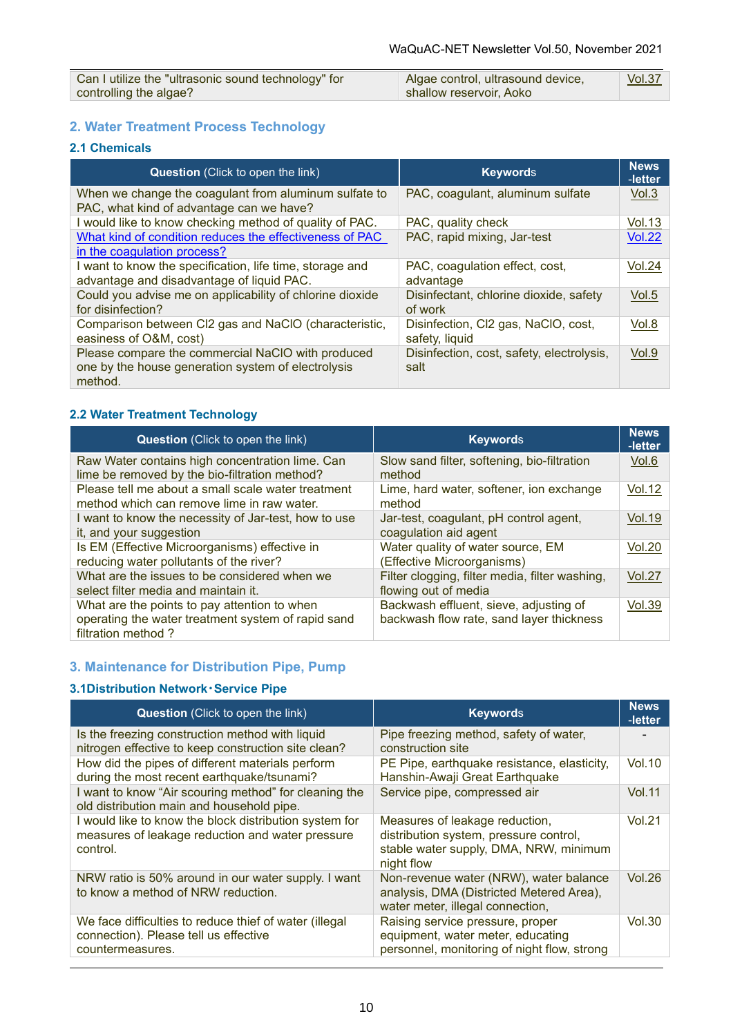| Can I utilize the "ultrasonic sound technology" for | Algae control, ultrasound device, | <b>Vol.37</b> |
|-----------------------------------------------------|-----------------------------------|---------------|
| controlling the algae?                              | shallow reservoir, Aoko           |               |

## **2. Water Treatment Process Technology**

## **2.1 Chemicals**

| <b>Question</b> (Click to open the link)                                                                           | <b>Keywords</b>                                       | <b>News</b><br>-letter |
|--------------------------------------------------------------------------------------------------------------------|-------------------------------------------------------|------------------------|
| When we change the coagulant from aluminum sulfate to<br>PAC, what kind of advantage can we have?                  | PAC, coagulant, aluminum sulfate                      | Vol.3                  |
| I would like to know checking method of quality of PAC.                                                            | PAC, quality check                                    | Vol.13                 |
| What kind of condition reduces the effectiveness of PAC<br>in the coagulation process?                             | PAC, rapid mixing, Jar-test                           | <b>Vol.22</b>          |
| I want to know the specification, life time, storage and<br>advantage and disadvantage of liquid PAC.              | PAC, coagulation effect, cost,<br>advantage           | <b>Vol.24</b>          |
| Could you advise me on applicability of chlorine dioxide<br>for disinfection?                                      | Disinfectant, chlorine dioxide, safety<br>of work     | Vol.5                  |
| Comparison between CI2 gas and NaCIO (characteristic,<br>easiness of O&M, cost)                                    | Disinfection, Cl2 gas, NaClO, cost,<br>safety, liquid | Vol.8                  |
| Please compare the commercial NaClO with produced<br>one by the house generation system of electrolysis<br>method. | Disinfection, cost, safety, electrolysis,<br>salt     | Vol.9                  |

## **2.2 Water Treatment Technology**

| <b>Question</b> (Click to open the link)                                                                                 | <b>Keywords</b>                                                                    | <b>News</b><br>-letter |
|--------------------------------------------------------------------------------------------------------------------------|------------------------------------------------------------------------------------|------------------------|
| Raw Water contains high concentration lime. Can<br>lime be removed by the bio-filtration method?                         | Slow sand filter, softening, bio-filtration<br>method                              | Vol.6                  |
| Please tell me about a small scale water treatment<br>method which can remove lime in raw water.                         | Lime, hard water, softener, ion exchange<br>method                                 | <b>Vol.12</b>          |
| I want to know the necessity of Jar-test, how to use<br>it, and your suggestion                                          | Jar-test, coagulant, pH control agent,<br>coagulation aid agent                    | <b>Vol.19</b>          |
| Is EM (Effective Microorganisms) effective in<br>reducing water pollutants of the river?                                 | Water quality of water source, EM<br>(Effective Microorganisms)                    | <b>Vol.20</b>          |
| What are the issues to be considered when we<br>select filter media and maintain it.                                     | Filter clogging, filter media, filter washing,<br>flowing out of media             | <b>Vol.27</b>          |
| What are the points to pay attention to when<br>operating the water treatment system of rapid sand<br>filtration method? | Backwash effluent, sieve, adjusting of<br>backwash flow rate, sand layer thickness | <b>Vol.39</b>          |

## **3. Maintenance for Distribution Pipe, Pump**

### **3.1Distribution Network・Service Pipe**

| <b>Question</b> (Click to open the link)                                                                               | <b>Keywords</b>                                                                                                                  | <b>News</b><br>-letter |
|------------------------------------------------------------------------------------------------------------------------|----------------------------------------------------------------------------------------------------------------------------------|------------------------|
| Is the freezing construction method with liquid<br>nitrogen effective to keep construction site clean?                 | Pipe freezing method, safety of water,<br>construction site                                                                      |                        |
| How did the pipes of different materials perform<br>during the most recent earthquake/tsunami?                         | PE Pipe, earthquake resistance, elasticity,<br>Hanshin-Awaji Great Earthquake                                                    | <b>Vol.10</b>          |
| I want to know "Air scouring method" for cleaning the<br>old distribution main and household pipe.                     | Service pipe, compressed air                                                                                                     | <b>Vol.11</b>          |
| I would like to know the block distribution system for<br>measures of leakage reduction and water pressure<br>control. | Measures of leakage reduction,<br>distribution system, pressure control,<br>stable water supply, DMA, NRW, minimum<br>night flow | Vol.21                 |
| NRW ratio is 50% around in our water supply. I want<br>to know a method of NRW reduction.                              | Non-revenue water (NRW), water balance<br>analysis, DMA (Districted Metered Area),<br>water meter, illegal connection,           | Vol.26                 |
| We face difficulties to reduce thief of water (illegal<br>connection). Please tell us effective<br>countermeasures.    | Raising service pressure, proper<br>equipment, water meter, educating<br>personnel, monitoring of night flow, strong             | Vol.30                 |